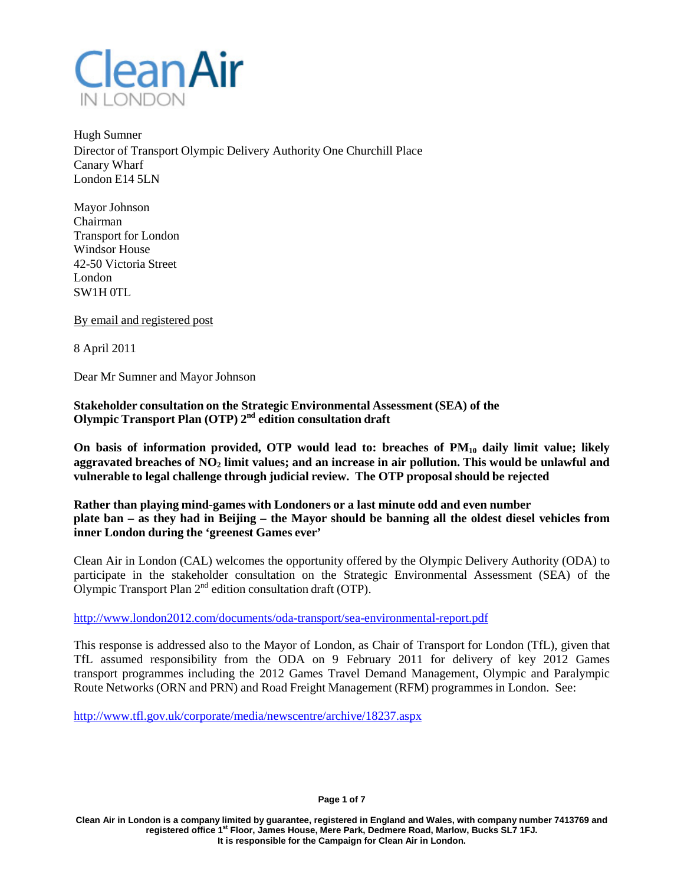

Hugh Sumner Director of Transport Olympic Delivery Authority One Churchill Place Canary Wharf London E14 5LN

Mayor Johnson Chairman Transport for London Windsor House 42-50 Victoria Street London SW1H 0TL

By email and registered post

8 April 2011

Dear Mr Sumner and Mayor Johnson

**Stakeholder consultation on the Strategic Environmental Assessment (SEA) of the Olympic Transport Plan (OTP) 2nd edition consultation draft**

**On basis of information provided, OTP would lead to: breaches of PM10 daily limit value; likely aggravated breaches of NO2 limit values; and an increase in air pollution. This would be unlawful and vulnerable to legal challenge through judicial review. The OTP proposal should be rejected**

**Rather than playing mind-games with Londoners or a last minute odd and even number** plate ban – as they had in Beijing – the Mayor should be banning all the oldest diesel vehicles from **inner London during the 'greenest Games ever'**

Clean Air in London (CAL) welcomes the opportunity offered by the Olympic Delivery Authority (ODA) to participate in the stakeholder consultation on the Strategic Environmental Assessment (SEA) of the Olympic Transport Plan  $2<sup>nd</sup>$  edition consultation draft (OTP).

<http://www.london2012.com/documents/oda-transport/sea-environmental-report.pdf>

This response is addressed also to the Mayor of London, as Chair of Transport for London (TfL), given that TfL assumed responsibility from the ODA on 9 February 2011 for delivery of key 2012 Games transport programmes including the 2012 Games Travel Demand Management, Olympic and Paralympic Route Networks (ORN and PRN) and Road Freight Management (RFM) programmes in London. See:

<http://www.tfl.gov.uk/corporate/media/newscentre/archive/18237.aspx>

**Page 1 of 7**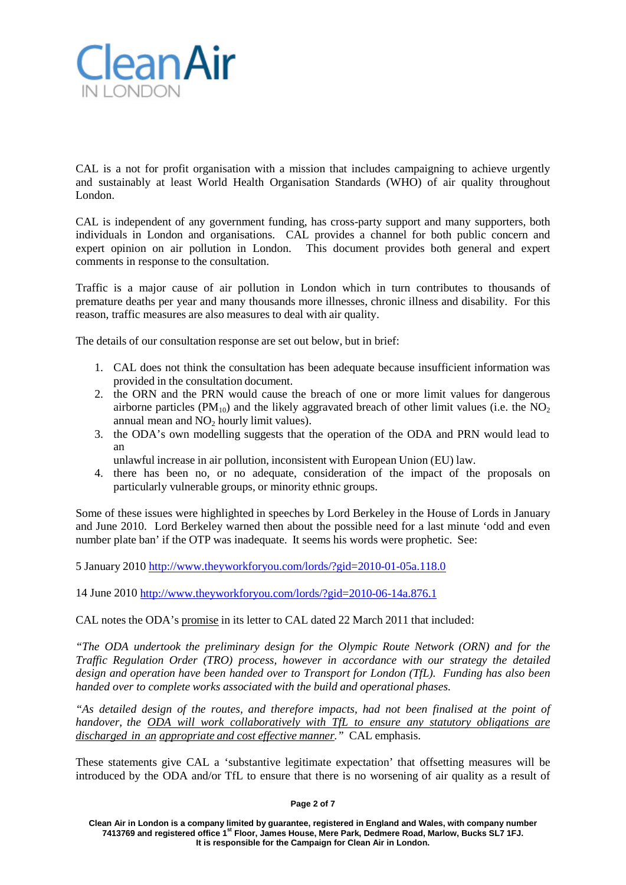

CAL is a not for profit organisation with a mission that includes campaigning to achieve urgently and sustainably at least World Health Organisation Standards (WHO) of air quality throughout London.

CAL is independent of any government funding, has cross-party support and many supporters, both individuals in London and organisations. CAL provides a channel for both public concern and expert opinion on air pollution in London. This document provides both general and expert comments in response to the consultation.

Traffic is a major cause of air pollution in London which in turn contributes to thousands of premature deaths per year and many thousands more illnesses, chronic illness and disability. For this reason, traffic measures are also measures to deal with air quality.

The details of our consultation response are set out below, but in brief:

- 1. CAL does not think the consultation has been adequate because insufficient information was provided in the consultation document.
- 2. the ORN and the PRN would cause the breach of one or more limit values for dangerous airborne particles ( $PM_{10}$ ) and the likely aggravated breach of other limit values (i.e. the  $NO<sub>2</sub>$ annual mean and  $NO<sub>2</sub>$  hourly limit values).
- 3. the ODA's own modelling suggests that the operation of the ODA and PRN would lead to an
	- unlawful increase in air pollution, inconsistent with European Union (EU) law.
- 4. there has been no, or no adequate, consideration of the impact of the proposals on particularly vulnerable groups, or minority ethnic groups.

Some of these issues were highlighted in speeches by Lord Berkeley in the House of Lords in January and June 2010. Lord Berkeley warned then about the possible need for a last minute 'odd and even number plate ban' if the OTP was inadequate. It seems his words were prophetic. See:

5 January 2010<http://www.theyworkforyou.com/lords/?gid=2010-01-05a.118.0>

14 June 2010<http://www.theyworkforyou.com/lords/?gid=2010-06-14a.876.1>

CAL notes the ODA's promise in its letter to CAL dated 22 March 2011 that included:

*"The ODA undertook the preliminary design for the Olympic Route Network (ORN) and for the Traffic Regulation Order (TRO) process, however in accordance with our strategy the detailed design and operation have been handed over to Transport for London (TfL). Funding has also been handed over to complete works associated with the build and operational phases.*

*"As detailed design of the routes, and therefore impacts, had not been finalised at the point of handover, the ODA will work collaboratively with TfL to ensure any statutory obligations are discharged in an appropriate and cost effective manner."* CAL emphasis.

These statements give CAL a 'substantive legitimate expectation' that offsetting measures will be introduced by the ODA and/or TfL to ensure that there is no worsening of air quality as a result of

#### **Page 2 of 7**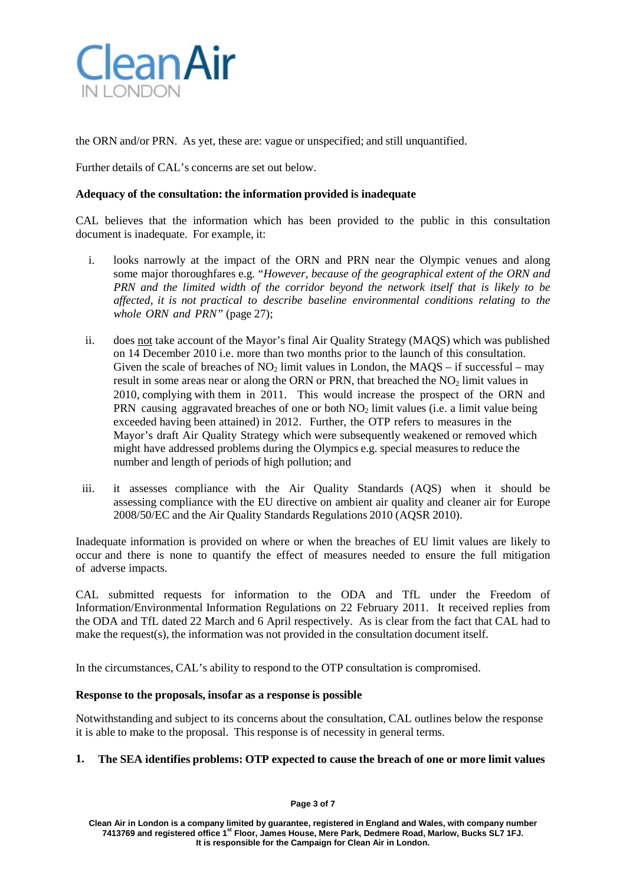

the ORN and/or PRN. As yet, these are: vague or unspecified; and still unquantified.

Further details of CAL's concerns are set out below.

## **Adequacy of the consultation: the information provided is inadequate**

CAL believes that the information which has been provided to the public in this consultation document is inadequate. For example, it:

- i. looks narrowly at the impact of the ORN and PRN near the Olympic venues and along some major thoroughfares e.g. "*However, because of the geographical extent of the ORN and PRN and the limited width of the corridor beyond the network itself that is likely to be affected, it is not practical to describe baseline environmental conditions relating to the whole ORN and PRN"* (page 27);
- ii. does not take account of the Mayor's final Air Quality Strategy (MAQS) which was published on 14 December 2010 i.e. more than two months prior to the launch of this consultation. Given the scale of breaches of NO<sub>2</sub> limit values in London, the MAQS – if successful – may result in some areas near or along the ORN or PRN, that breached the  $NO<sub>2</sub>$  limit values in 2010, complying with them in 2011. This would increase the prospect of the ORN and PRN causing aggravated breaches of one or both  $NO<sub>2</sub>$  limit values (i.e. a limit value being exceeded having been attained) in 2012. Further, the OTP refers to measures in the Mayor's draft Air Quality Strategy which were subsequently weakened or removed which might have addressed problems during the Olympics e.g. special measures to reduce the number and length of periods of high pollution; and
- iii. it assesses compliance with the Air Quality Standards (AQS) when it should be assessing compliance with the EU directive on ambient air quality and cleaner air for Europe 2008/50/EC and the Air Quality Standards Regulations 2010 (AQSR 2010).

Inadequate information is provided on where or when the breaches of EU limit values are likely to occur and there is none to quantify the effect of measures needed to ensure the full mitigation of adverse impacts.

CAL submitted requests for information to the ODA and TfL under the Freedom of Information/Environmental Information Regulations on 22 February 2011. It received replies from the ODA and TfL dated 22 March and 6 April respectively. As is clear from the fact that CAL had to make the request(s), the information was not provided in the consultation document itself.

In the circumstances, CAL's ability to respond to the OTP consultation is compromised.

### **Response to the proposals, insofar as a response is possible**

Notwithstanding and subject to its concerns about the consultation, CAL outlines below the response it is able to make to the proposal. This response is of necessity in general terms.

# **1. The SEA identifies problems: OTP expected to cause the breach of one or more limit values**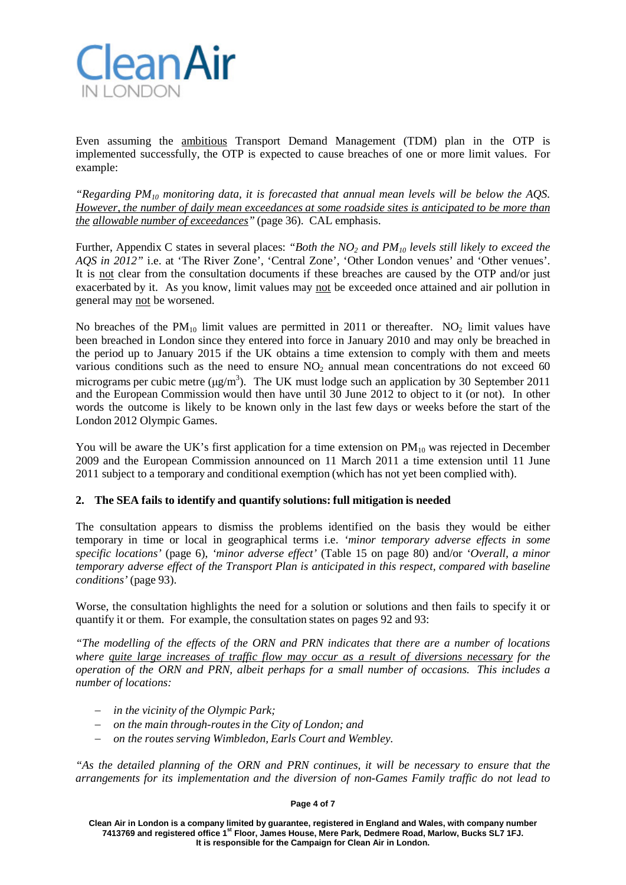

Even assuming the ambitious Transport Demand Management (TDM) plan in the OTP is implemented successfully, the OTP is expected to cause breaches of one or more limit values. For example:

*"Regarding PM10 monitoring data, it is forecasted that annual mean levels will be below the AQS. However, the number of daily mean exceedances at some roadside sites is anticipated to be more than the allowable number of exceedances"* (page 36). CAL emphasis.

Further, Appendix C states in several places: *"Both the NO2 and PM10 levels still likely to exceed the AQS in 2012"* i.e. at 'The River Zone', 'Central Zone', 'Other London venues' and 'Other venues'. It is not clear from the consultation documents if these breaches are caused by the OTP and/or just exacerbated by it. As you know, limit values may not be exceeded once attained and air pollution in general may not be worsened.

No breaches of the  $PM_{10}$  limit values are permitted in 2011 or thereafter. NO<sub>2</sub> limit values have been breached in London since they entered into force in January 2010 and may only be breached in the period up to January 2015 if the UK obtains a time extension to comply with them and meets various conditions such as the need to ensure  $NO<sub>2</sub>$  annual mean concentrations do not exceed 60 micrograms per cubic metre ( $\mu$ g/m<sup>3</sup>). The UK must lodge such an application by 30 September 2011 and the European Commission would then have until 30 June 2012 to object to it (or not). In other words the outcome is likely to be known only in the last few days or weeks before the start of the London 2012 Olympic Games.

You will be aware the UK's first application for a time extension on  $PM_{10}$  was rejected in December 2009 and the European Commission announced on 11 March 2011 a time extension until 11 June 2011 subject to a temporary and conditional exemption (which has not yet been complied with).

# **2. The SEA fails to identify and quantify solutions: full mitigation is needed**

The consultation appears to dismiss the problems identified on the basis they would be either temporary in time or local in geographical terms i.e. *'minor temporary adverse effects in some specific locations'* (page 6), *'minor adverse effect'* (Table 15 on page 80) and/or *'Overall, a minor temporary adverse effect of the Transport Plan is anticipated in this respect, compared with baseline conditions'* (page 93).

Worse, the consultation highlights the need for a solution or solutions and then fails to specify it or quantify it or them. For example, the consultation states on pages 92 and 93:

*"The modelling of the effects of the ORN and PRN indicates that there are a number of locations where quite large increases of traffic flow may occur as a result of diversions necessary for the operation of the ORN and PRN, albeit perhaps for a small number of occasions. This includes a number of locations:*

- − *in the vicinity of the Olympic Park;*
- − *on the main through-routesin the City of London; and*
- − *on the routes serving Wimbledon, Earls Court and Wembley.*

*"As the detailed planning of the ORN and PRN continues, it will be necessary to ensure that the arrangements for its implementation and the diversion of non-Games Family traffic do not lead to* 

#### **Page 4 of 7**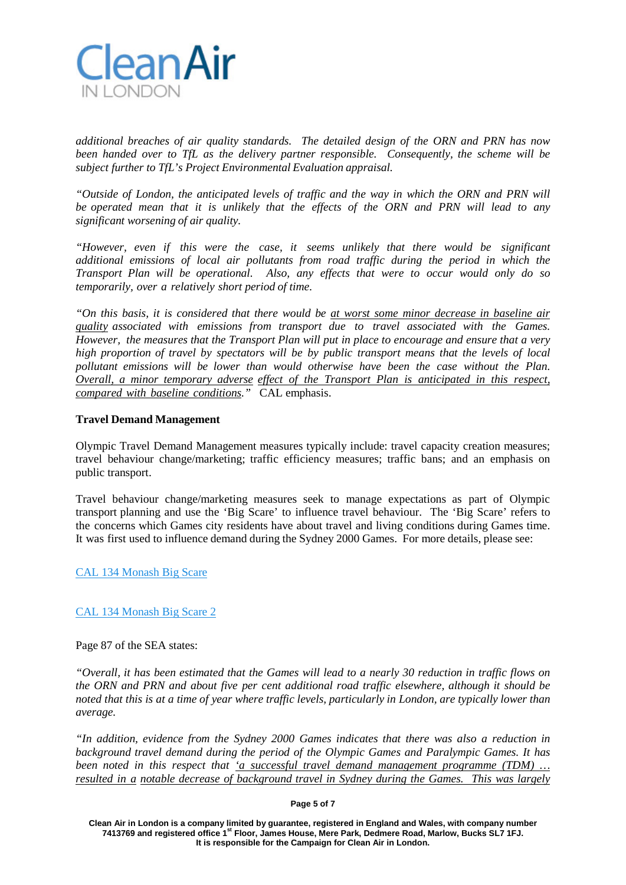

*additional breaches of air quality standards. The detailed design of the ORN and PRN has now been handed over to TfL as the delivery partner responsible. Consequently, the scheme will be subject further to TfL's Project Environmental Evaluation appraisal.*

*"Outside of London, the anticipated levels of traffic and the way in which the ORN and PRN will be operated mean that it is unlikely that the effects of the ORN and PRN will lead to any significant worsening of air quality.*

*"However, even if this were the case, it seems unlikely that there would be significant additional emissions of local air pollutants from road traffic during the period in which the Transport Plan will be operational. Also, any effects that were to occur would only do so temporarily, over a relatively short period of time.*

*"On this basis, it is considered that there would be at worst some minor decrease in baseline air quality associated with emissions from transport due to travel associated with the Games. However, the measures that the Transport Plan will put in place to encourage and ensure that a very high proportion of travel by spectators will be by public transport means that the levels of local pollutant emissions will be lower than would otherwise have been the case without the Plan. Overall, a minor temporary adverse effect of the Transport Plan is anticipated in this respect, compared with baseline conditions."* CAL emphasis.

### **Travel Demand Management**

Olympic Travel Demand Management measures typically include: travel capacity creation measures; travel behaviour change/marketing; traffic efficiency measures; traffic bans; and an emphasis on public transport.

Travel behaviour change/marketing measures seek to manage expectations as part of Olympic transport planning and use the 'Big Scare' to influence travel behaviour. The 'Big Scare' refers to the concerns which Games city residents have about travel and living conditions during Games time. It was first used to influence demand during the Sydney 2000 Games. For more details, please see:

[CAL 134 Monash Big Scare](http://cleanairinlondon.org/olympics/olympic-transport-plan-would-lead-to-breaches-of-air-pollution-laws/attachment/cal-134-monash-big-scare-3/)

# [CAL 134 Monash Big Scare 2](http://cleanairinlondon.org/olympics/olympic-transport-plan-would-lead-to-breaches-of-air-pollution-laws/attachment/cal-134-monash-big-scare-2-2/)

Page 87 of the SEA states:

*"Overall, it has been estimated that the Games will lead to a nearly 30 reduction in traffic flows on the ORN and PRN and about five per cent additional road traffic elsewhere, although it should be* noted that this is at a time of year where traffic levels, particularly in London, are typically lower than *average.*

*"In addition, evidence from the Sydney 2000 Games indicates that there was also a reduction in background travel demand during the period of the Olympic Games and Paralympic Games. It has been noted in this respect that 'a successful travel demand management programme (TDM) … resulted in a notable decrease of background travel in Sydney during the Games. This was largely*

## **Page 5 of 7**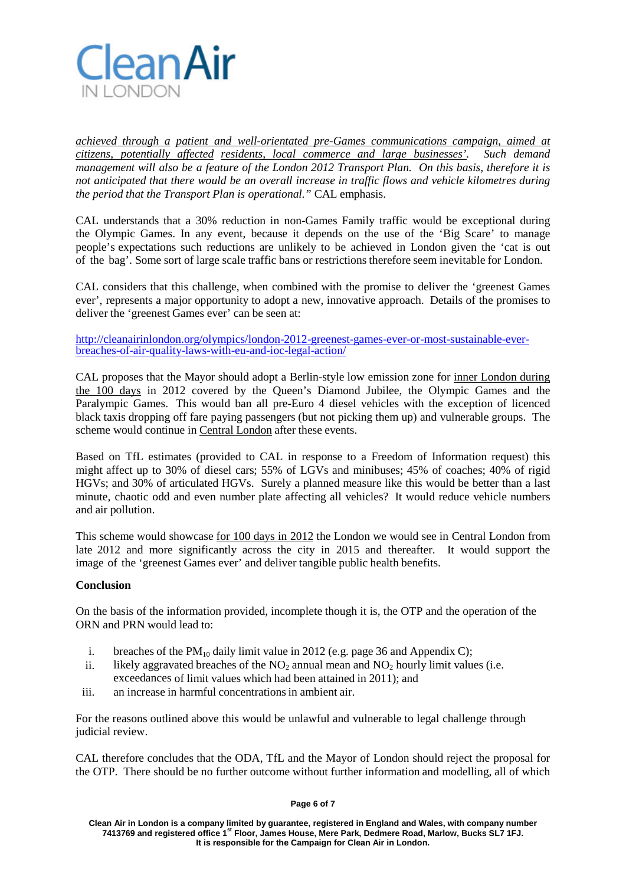

*achieved through a patient and well-orientated pre-Games communications campaign, aimed at citizens, potentially affected residents, local commerce and large businesses'. Such demand management will also be a feature of the London 2012 Transport Plan. On this basis, therefore it is not anticipated that there would be an overall increase in traffic flows and vehicle kilometres during the period that the Transport Plan is operational."* CAL emphasis.

CAL understands that a 30% reduction in non-Games Family traffic would be exceptional during the Olympic Games. In any event, because it depends on the use of the 'Big Scare' to manage people's expectations such reductions are unlikely to be achieved in London given the 'cat is out of the bag'. Some sort of large scale traffic bans or restrictions therefore seem inevitable for London.

CAL considers that this challenge, when combined with the promise to deliver the 'greenest Games ever', represents a major opportunity to adopt a new, innovative approach. Details of the promises to deliver the 'greenest Games ever' can be seen at:

[http://cleanairinlondon.org/olympics/london-2012-greenest-games-ever-or-most-sustainable-ever-](http://cleanairinlondon.org/olympics/london-2012-greenest-games-ever-or-most-sustainable-ever-breaches-of-air-quality-laws-with-eu-and-ioc-legal-action/) [breaches-of-air-quality-laws-with-eu-and-ioc-legal-action/](http://cleanairinlondon.org/olympics/london-2012-greenest-games-ever-or-most-sustainable-ever-breaches-of-air-quality-laws-with-eu-and-ioc-legal-action/)

CAL proposes that the Mayor should adopt a Berlin-style low emission zone for inner London during the 100 days in 2012 covered by the Queen's Diamond Jubilee, the Olympic Games and the Paralympic Games. This would ban all pre-Euro 4 diesel vehicles with the exception of licenced black taxis dropping off fare paying passengers (but not picking them up) and vulnerable groups. The scheme would continue in Central London after these events.

Based on TfL estimates (provided to CAL in response to a Freedom of Information request) this might affect up to 30% of diesel cars; 55% of LGVs and minibuses; 45% of coaches; 40% of rigid HGVs; and 30% of articulated HGVs. Surely a planned measure like this would be better than a last minute, chaotic odd and even number plate affecting all vehicles? It would reduce vehicle numbers and air pollution.

This scheme would showcase for 100 days in 2012 the London we would see in Central London from late 2012 and more significantly across the city in 2015 and thereafter. It would support the image of the 'greenest Games ever' and deliver tangible public health benefits.

# **Conclusion**

On the basis of the information provided, incomplete though it is, the OTP and the operation of the ORN and PRN would lead to:

- i. breaches of the PM<sub>10</sub> daily limit value in 2012 (e.g. page 36 and Appendix C);
- ii. likely aggravated breaches of the  $NO<sub>2</sub>$  annual mean and  $NO<sub>2</sub>$  hourly limit values (i.e. exceedances of limit values which had been attained in 2011); and
- iii. an increase in harmful concentrations in ambient air.

For the reasons outlined above this would be unlawful and vulnerable to legal challenge through judicial review.

CAL therefore concludes that the ODA, TfL and the Mayor of London should reject the proposal for the OTP. There should be no further outcome without further information and modelling, all of which

#### **Page 6 of 7**